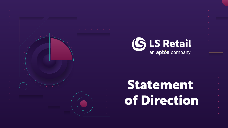





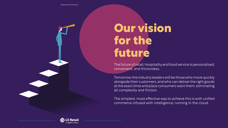## **Our vision for the future**

The future of retail, hospitality and food service is personalized, convenient, and frictionless.

Tomorrow, the industry leaders will be those who move quickly alongside their customers, and who can deliver the right goods at the exact time and place consumers want them, eliminating all complexity and friction.

The simplest, most effective way to achieve this is with unified commerce infused with intelligence, running in the cloud.



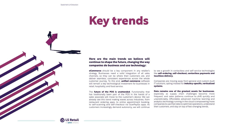### **Key trends**



#### **Here are the main trends we believe will continue to shape the future, changing the way companies do business and use technology:**

**eCommerce** should be a key component in any retailer's strategy. Businesses need a solid integration of all sales channels, so they can be where their customers are, and deliver seamless, consistent experiences across the whole customer journey. To this end, **unified commerce** software will remain a key technological investment for businesses in retail, hospitality, and food service.

The **future of the POS is unattended**. Functionality that has traditionally been part of the POS in the hands of a sales associate will move to the customer's device. We can already see this trend making waves across industries, from restaurant ordering apps, to online appointment booking, to self-scanning and self-checkout via ScanPayGo apps. As customers increasingly demand autonomy, we will continue

to see a growth in contactless and self-service technologies like **self-ordering, self-checkout, contactless payments and touchless delivery.**

Companies are moving away from general and custom-built IT solutions, opting instead for **industry-specific, verticalized systems.** 

**Data remains one of the greatest assets for businesses**, especially as supply chain challenges become more frequent, and sales patterns continue to shift quickly and unpredictably. Affordable advanced machine learning and analytics technology running in the cloud is empowering more companies to use their data to optimize operations, understand their customers, and stay on top of fast-changing trends.

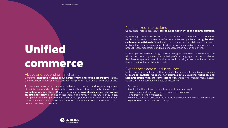#### Personalized interactions

Consumers increasingly value **personalized experiences and communications.**

By tracking in the same system all contacts with a customer across different touchpoints, unified commerce software enables companies to **recognize their customers as individuals**. Once they know their customers' habits, preferences and past purchases, businesses can speak to them in a personalized way, make meaningful product recommendations, and build engagement, in person and online.

For example, a hotel could recognize a returning guest and make them feel welcome with a complimentary newspaper in their preferred language, or a special offer for their favorite spa treatment. A retail store could let a loyal customer know that an item on their online wish list is on sale.

#### Experiences across industry lines

Unified commerce software with multi-industry functionality enables companies to **manage multiple functions, for example retail, catering, ticketing, and accommodation, with the same technology**. Using one management system across the whole company enables businesses to

- 
- 
- Cut costs
- Simplify the IT stack and reduce time spent on managing it
- Train employees faster and move them across positions
- Have greater brand consistency
- Accelerate speed of execution, as it reduces the need to integrate new software
- Expand to new industries and concepts.

Consumer **shopping journeys move across online and offline touchpoints**. Today, the most successful businesses consider their physical retail and eCommerce as one.

To offer a seamless omni-channel experience to customers, and to get a single view of their business and customers, retail, hospitality, and food service businesses need **unified commerce** software. Unified commerce is a **centralized platform that unifies all data and channels**, and connects them in real time. It is the future of business. Companies get a complete view of their entire operation and of every instance their customers interact with them, and can make decisions based on information that is timely, complete, and reliable.



## **Unified commerce**

#### Above and beyond omni-channel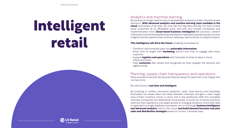### Analytics and machine learning

Businesses no longer need to rely on spreadsheet analysis to make critical business decisions. **With advanced analytics and machine learning tools available in the cloud**, businesses of all sizes can now tap into big data and dig into how to best serve customers at an affordable price, and with very limited complexity and implementation time. **Cloud-based business intelligence** (BI) solutions present information via intuitive dashboards and reports, helping businesses quickly uncover insights and see opportunities, without needing a data scientist or analytics expert.

#### **This intelligence will drive the future**, enabling businesses to

- Transform disconnected data into **actionable information**
- Know who to target with **marketing** actions and how to engage with every customer
- Support **logistics and operations** with forecasts of what to keep in stock, where and when
- Help **customers** feel valued and recognized as they navigate the physical and digital worlds

#### Planning, supply chain transparency and operations Many business forecasts fail because they are based on data that is full of gaps and not real-time.

#### But the future is **real time and intelligent**.

By investing in unified commerce platforms, retail, food service and hospitality businesses can break down the siloes between channels and gain a clear, single view of their inventory online, in-store, and in the warehouse. With this complete overview, companies can redistribute stock quickly to avoid out-of-stock scenarios, optimize their operations, and adapt quickly to changing situations. Once their data is organized in a single database, businesses can run it through **business intelligence and advanced analytics** tools in the cloud, **and build demand forecasts and plan sales and distribution strategies** based on current, complete data.











# **Intelligent retail**

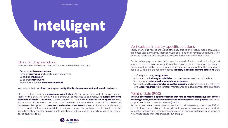#### Verticalized, industry-specific solutions

Today, many businesses are losing efficiency due to an IT setup made of multiple, disjointed legacy systems. These software solutions often have no underlying vision or future roadmap, and become outdated shortly after implementation.

But fast-changing consumer habits require speed of action, and technology that supports rapid decision-making. General and custom-built IT solutions are likely to become a thing of the past. Companies are starting to realize that the only way to keep up with rapid change is to choose **industry-specific software solutions** that:

- Don't require costly **integrations**
- Include all the **industry capabilities** that businesses need out of the box
- Can be easily **maintained, updated and expanded**
- Are developed by **experts who know the industry** and understand its challenges
- Have a **clear roadmap**, with constant maintenance and development of the platform.

#### Point of Sale (POS)

#### **The POS of tomorrow is a point of service that runs on many different types of devices, including kiosks, self-service machines and the customers' own phones**, and which supports contactless, personalized (self-)service.

As consumers demand autonomy and service on their own terms, tomorrow's POS will be multi-functional, enabling customers to look up product information, order products from other locations, see recommendations based on personal preferences and shopping history, book appointments, and check out and pay.







### Cloud and hybrid cloud

The cloud has established itself as the most valuable technology to

- Reduce **hardware expenses**
- Simplify **upgrades** and shorten upgrade cycles
- Speed up **innovation**
- Support **remote work**
- Move at the pace of **consumer demand**.

We believe that **the cloud is an opportunity that businesses cannot and should not miss**.

Moving to the cloud is a **necessary, urgent step**. At the same time, not all businesses are ready for this shift. That's why we also empower companies to go hybrid, and **keep some core elements of their IT in house**, if they choose so. The **LS Retail hybrid cloud approach** sees applications distributed across companies' own data centers and our cloud platform. We leave businesses the option to **consume the cloud on their terms**: they can for example choose to retain confidential transactional data in their own data center, or to run the POS offline. At the same time, they can also spin up a data warehouse in the cloud to take advantage of our cloudbased analytics tools.



Statement of Direction

# **Intelligent retail**